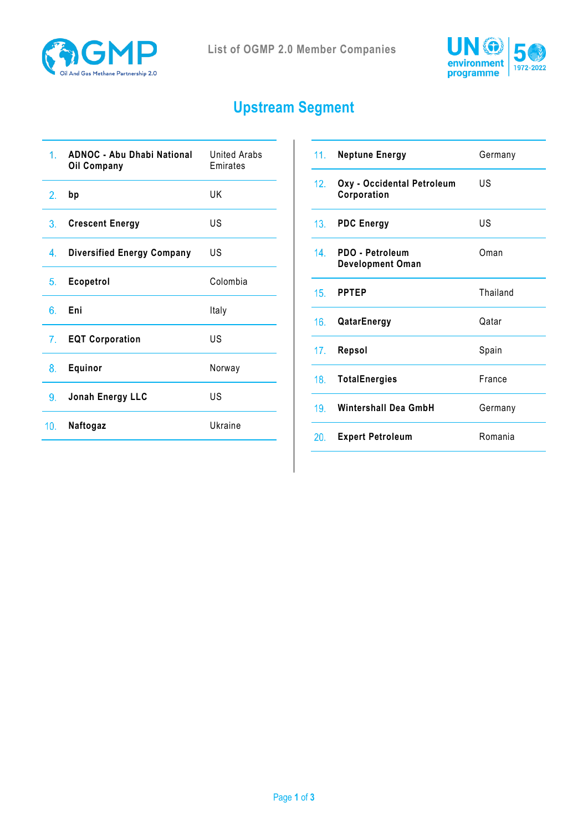



## **Upstream Segment**

| <b>ADNOC - Abu Dhabi National</b><br><b>Oil Company</b> | United Arabs<br>Emirates |
|---------------------------------------------------------|--------------------------|
| bp                                                      | UK                       |
| <b>Crescent Energy</b>                                  | US                       |
| <b>Diversified Energy Company</b>                       | US                       |
| <b>Ecopetrol</b>                                        | Colombia                 |
| Eni                                                     | Italy                    |
| <b>EQT Corporation</b>                                  | US                       |
| Equinor                                                 | Norway                   |
| Jonah Energy LLC                                        | US                       |
| Naftogaz                                                | Ukraine                  |
|                                                         | 3.<br>7.                 |

| 11.             | <b>Neptune Energy</b>                      | Germany  |
|-----------------|--------------------------------------------|----------|
| 12.             | Oxy - Occidental Petroleum<br>Corporation  | US       |
| 13.             | <b>PDC Energy</b>                          | US       |
| 14.             | PDO - Petroleum<br><b>Development Oman</b> | Oman     |
| 15.             | <b>PPTEP</b>                               | Thailand |
| 16.             | QatarEnergy                                | Qatar    |
| 17.             | Repsol                                     | Spain    |
| 18.             | <b>TotalEnergies</b>                       | France   |
| 19 <sub>1</sub> | Wintershall Dea GmbH                       | Germany  |
| 20.             | <b>Expert Petroleum</b>                    | Romania  |
|                 |                                            |          |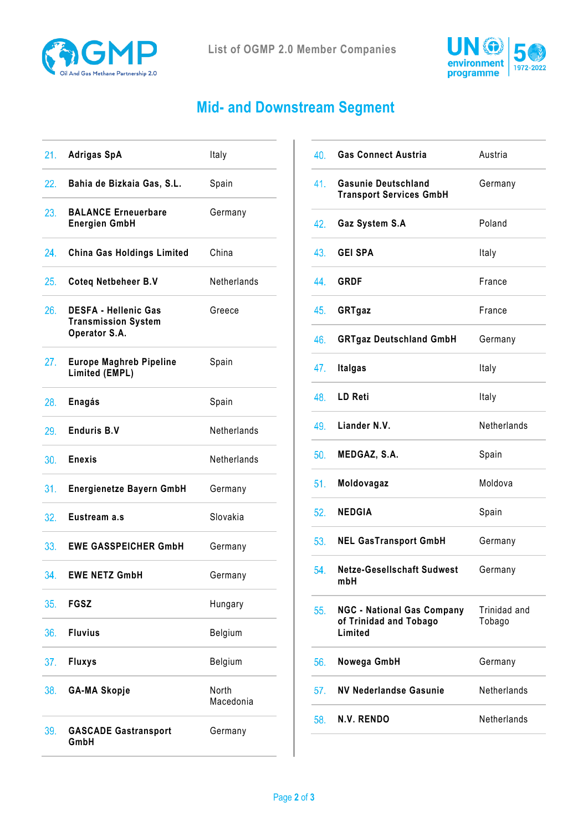



## **Mid- and Downstream Segment**

| 21.             | <b>Adrigas SpA</b>                                                         | Italy              |
|-----------------|----------------------------------------------------------------------------|--------------------|
| 22.             | Bahia de Bizkaia Gas, S.L.                                                 | Spain              |
| 23.             | <b>BALANCE Erneuerbare</b><br><b>Energien GmbH</b>                         | Germany            |
| 24.             | <b>China Gas Holdings Limited</b>                                          | China              |
| 25.             | <b>Coteq Netbeheer B.V</b>                                                 | Netherlands        |
| 26.             | <b>DESFA - Hellenic Gas</b><br><b>Transmission System</b><br>Operator S.A. | Greece             |
| 27.             | <b>Europe Maghreb Pipeline</b><br>Limited (EMPL)                           | Spain              |
| 28.             | Enagás                                                                     | Spain              |
| 29.             | <b>Enduris B.V</b>                                                         | Netherlands        |
|                 |                                                                            |                    |
| 30.             | <b>Enexis</b>                                                              | Netherlands        |
| 31.             | <b>Energienetze Bayern GmbH</b>                                            | Germany            |
| 32.             | Eustream a.s                                                               | Slovakia           |
| 33.             | <b>EWE GASSPEICHER GmbH</b>                                                | Germany            |
| 34 <sub>1</sub> | <b>EWE NETZ GmbH</b>                                                       | Germany            |
| 35.             | <b>FGSZ</b>                                                                | Hungary            |
| 36.             | <b>Fluvius</b>                                                             | Belgium            |
| 37.             | <b>Fluxys</b>                                                              | Belgium            |
| 38.             | <b>GA-MA Skopje</b>                                                        | North<br>Macedonia |

| 40. | <b>Gas Connect Austria</b>                                             | Austria                |
|-----|------------------------------------------------------------------------|------------------------|
| 41. | <b>Gasunie Deutschland</b><br><b>Transport Services GmbH</b>           | Germany                |
| 42. | Gaz System S.A                                                         | Poland                 |
| 43. | <b>GEI SPA</b>                                                         | Italy                  |
| 44. | <b>GRDF</b>                                                            | France                 |
| 45. | GRTgaz                                                                 | France                 |
| 46. | <b>GRTgaz Deutschland GmbH</b>                                         | Germany                |
| 47. | <b>Italgas</b>                                                         | Italy                  |
| 48. | LD Reti                                                                | Italy                  |
|     | 49. Liander N.V.                                                       | Netherlands            |
| 50. | MEDGAZ, S.A.                                                           | Spain                  |
| 51. | Moldovagaz                                                             | Moldova                |
| 52. | <b>NEDGIA</b>                                                          | Spain                  |
| 53. | <b>NEL GasTransport GmbH</b>                                           | Germany                |
| 54. | Netze-Gesellschaft Sudwest<br>mbH                                      | Germany                |
| 55. | <b>NGC - National Gas Company</b><br>of Trinidad and Tobago<br>Limited | Trinidad and<br>Tobago |
| 56. | Nowega GmbH                                                            | Germany                |
| 57. | <b>NV Nederlandse Gasunie</b>                                          | Netherlands            |
| 58. | N.V. RENDO                                                             | Netherlands            |